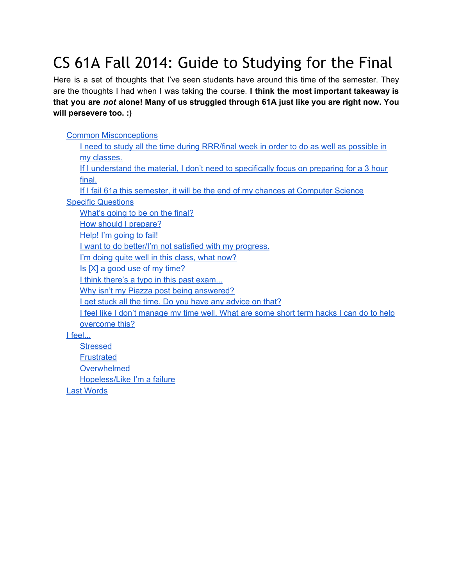# CS 61A Fall 2014: Guide to Studying for the Final

Here is a set of thoughts that I've seen students have around this time of the semester. They are the thoughts I had when I was taking the course. **I think the most important takeaway is that you are** *not* **alone! Many of us struggled through 61A just like you are right now. You will persevere too. :)**

#### Common [Misconceptions](#page-1-0) I need to study all the time during [RRR/final](#page-1-1) week in order to do as well as possible in my [classes.](#page-1-1) If I [understand](#page-1-2) the material, I don't need to specifically focus on preparing for a 3 hour [final.](#page-1-2) If I fail 61a this semester, it will be the end of my chances at [Computer](#page-1-3) Science Specific [Questions](#page-2-0) [What's](#page-2-1) going to be on the final? How should I [prepare?](#page-2-2) Help! I'm [going](#page-3-0) to fail! I want to do [better/I'm](#page-3-1) not satisfied with my progress. I'm doing quite well in this [class,](#page-3-2) what now? Is [X] a good use of my [time?](#page-3-3) I think there's a typo in this past [exam...](#page-3-4) Why isn't my Piazza post being [answered?](#page-3-5) I get stuck all the time. Do you have any [advice](#page-4-0) on that? I feel like I don't [manage](#page-5-0) my time well. What are some short term hacks I can do to help [overcome](#page-5-0) this? I [feel...](#page-6-0) [Stressed](#page-6-1) **[Frustrated](#page-6-2)** [Overwhelmed](#page-6-3)

[Hopeless/Like](#page-6-4) I'm a failure

Last [Words](#page-7-0)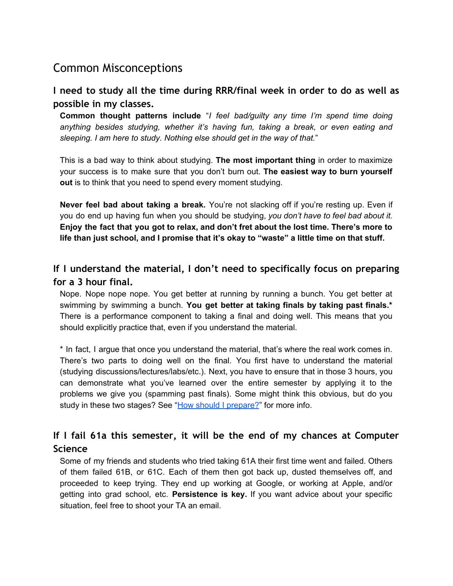# <span id="page-1-0"></span>Common Misconceptions

<span id="page-1-1"></span>**I need to study all the time during RRR/final week in order to do as well as possible in my classes.**

**Common thought patterns include** "*I feel bad/guilty any time I'm spend time doing anything besides studying, whether it's having fun, taking a break, or even eating and sleeping. I am here to study. Nothing else should get in the way of that.*"

This is a bad way to think about studying. **The most important thing** in order to maximize your success is to make sure that you don't burn out. **The easiest way to burn yourself out** is to think that you need to spend every moment studying.

**Never feel bad about taking a break.** You're not slacking off if you're resting up. Even if you do end up having fun when you should be studying, *you don't have to feel bad about it.* **Enjoy the fact that you got to relax, and don't fret about the lost time. There's more to life than just school, and I promise that it's okay to "waste" a little time on that stuff.**

# <span id="page-1-2"></span>**If I understand the material, I don't need to specifically focus on preparing for a 3 hour final.**

Nope. Nope nope nope. You get better at running by running a bunch. You get better at swimming by swimming a bunch. **You get better at taking finals by taking past finals.\*** There is a performance component to taking a final and doing well. This means that you should explicitly practice that, even if you understand the material.

\* In fact, I argue that once you understand the material, that's where the real work comes in. There's two parts to doing well on the final. You first have to understand the material (studying discussions/lectures/labs/etc.). Next, you have to ensure that in those 3 hours, you can demonstrate what you've learned over the entire semester by applying it to the problems we give you (spamming past finals). Some might think this obvious, but do you study in these two stages? See "How should I [prepare?](#page-2-2)" for more info.

# <span id="page-1-3"></span>**If I fail 61a this semester, it will be the end of my chances at Computer Science**

Some of my friends and students who tried taking 61A their first time went and failed. Others of them failed 61B, or 61C. Each of them then got back up, dusted themselves off, and proceeded to keep trying. They end up working at Google, or working at Apple, and/or getting into grad school, etc. **Persistence is key.** If you want advice about your specific situation, feel free to shoot your TA an email.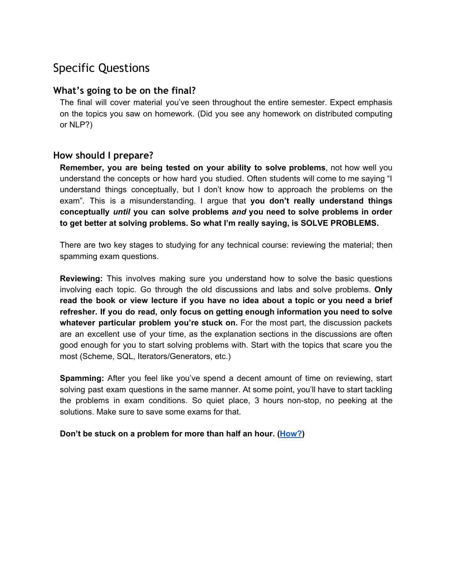# <span id="page-2-0"></span>Specific Questions

#### <span id="page-2-1"></span>**What's going to be on the final?**

The final will cover material you've seen throughout the entire semester. Expect emphasis on the topics you saw on homework. (Did you see any homework on distributed computing or NLP?)

#### <span id="page-2-2"></span>**How should I prepare?**

**Remember, you are being tested on your ability to solve problems**, not how well you understand the concepts or how hard you studied. Often students will come to me saying "I understand things conceptually, but I don't know how to approach the problems on the exam". This is a misunderstanding. I argue that **you don't really understand things conceptually** *until* **you can solve problems** *and* **you need to solve problems in order to get better at solving problems. So what I'm really saying, is SOLVE PROBLEMS.**

There are two key stages to studying for any technical course: reviewing the material; then spamming exam questions.

**Reviewing:** This involves making sure you understand how to solve the basic questions involving each topic. Go through the old discussions and labs and solve problems. **Only read the book or view lecture if you have no idea about a topic or you need a brief refresher. If you do read, only focus on getting enough information you need to solve whatever particular problem you're stuck on.** For the most part, the discussion packets are an excellent use of your time, as the explanation sections in the discussions are often good enough for you to start solving problems with. Start with the topics that scare you the most (Scheme, SQL, Iterators/Generators, etc.)

**Spamming:** After you feel like you've spend a decent amount of time on reviewing, start solving past exam questions in the same manner. At some point, you'll have to start tackling the problems in exam conditions. So quiet place, 3 hours non-stop, no peeking at the solutions. Make sure to save some exams for that.

**Don't be stuck on a problem for more than half an hour. ([How?](#page-4-0))**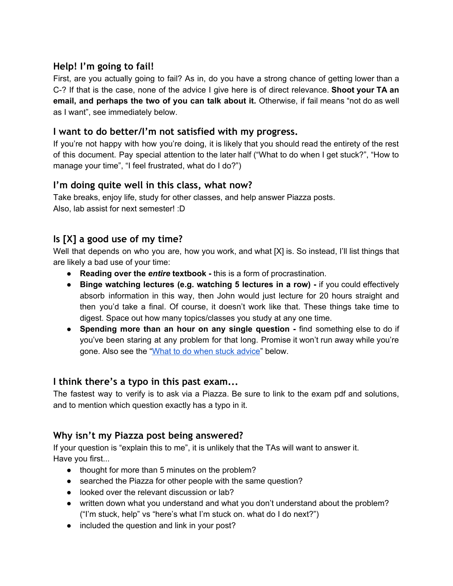## <span id="page-3-0"></span>**Help! I'm going to fail!**

First, are you actually going to fail? As in, do you have a strong chance of getting lower than a C-? If that is the case, none of the advice I give here is of direct relevance. **Shoot your TA an email, and perhaps the two of you can talk about it.** Otherwise, if fail means "not do as well as I want", see immediately below.

#### <span id="page-3-1"></span>**I want to do better/I'm not satisfied with my progress.**

If you're not happy with how you're doing, it is likely that you should read the entirety of the rest of this document. Pay special attention to the later half ("What to do when I get stuck?", "How to manage your time", "I feel frustrated, what do I do?")

#### <span id="page-3-2"></span>**I'm doing quite well in this class, what now?**

Take breaks, enjoy life, study for other classes, and help answer Piazza posts. Also, lab assist for next semester! :D

# <span id="page-3-3"></span>**Is [X] a good use of my time?**

Well that depends on who you are, how you work, and what [X] is. So instead, I'll list things that are likely a bad use of your time:

- **Reading over the** *entire* **textbook -** this is a form of procrastination.
- **Binge watching lectures (e.g. watching 5 lectures in a row) -** if you could effectively absorb information in this way, then John would just lecture for 20 hours straight and then you'd take a final. Of course, it doesn't work like that. These things take time to digest. Space out how many topics/classes you study at any one time.
- **● Spending more than an hour on any single question -** find something else to do if you've been staring at any problem for that long. Promise it won't run away while you're gone. Also see the "What to do when stuck [advice"](#page-4-0) below.

#### <span id="page-3-4"></span>**I think there's a typo in this past exam...**

The fastest way to verify is to ask via a Piazza. Be sure to link to the exam pdf and solutions, and to mention which question exactly has a typo in it.

## <span id="page-3-5"></span>**Why isn't my Piazza post being answered?**

If your question is "explain this to me", it is unlikely that the TAs will want to answer it. Have you first...

- thought for more than 5 minutes on the problem?
- searched the Piazza for other people with the same question?
- looked over the relevant discussion or lab?
- written down what you understand and what you don't understand about the problem? ("I'm stuck, help" vs "here's what I'm stuck on. what do I do next?")
- included the question and link in your post?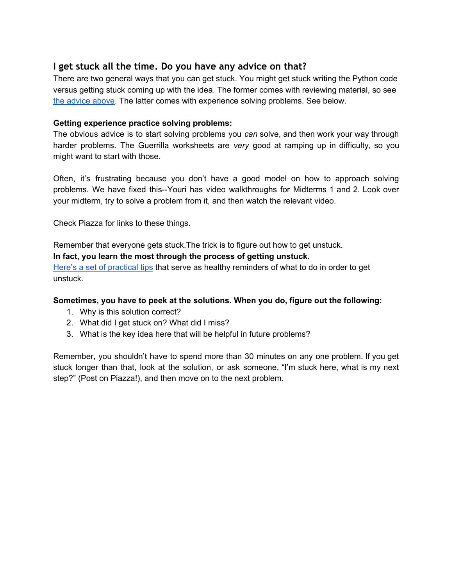#### <span id="page-4-0"></span>**I get stuck all the time. Do you have any advice on that?**

There are two general ways that you can get stuck. You might get stuck writing the Python code versus getting stuck coming up with the idea. The former comes with reviewing material, so see the [advice](#page-2-2) above. The latter comes with experience solving problems. See below.

#### **Getting experience practice solving problems:**

The obvious advice is to start solving problems you *can* solve, and then work your way through harder problems. The Guerrilla worksheets are *very* good at ramping up in difficulty, so you might want to start with those.

Often, it's frustrating because you don't have a good model on how to approach solving problems. We have fixed this--Youri has video walkthroughs for Midterms 1 and 2. Look over your midterm, try to solve a problem from it, and then watch the relevant video.

Check Piazza for links to these things.

Remember that everyone gets stuck.The trick is to figure out how to get unstuck.

**In fact, you learn the most through the process of getting unstuck.**

Here's a set of [practical](https://docs.google.com/document/d/1Yw6wK6PPL7x7wJB6Wo9qkWz8rgJwo-t0cXU5pFstaVA/edit) tips that serve as healthy reminders of what to do in order to get unstuck.

#### **Sometimes, you have to peek at the solutions. When you do, figure out the following:**

- 1. Why is this solution correct?
- 2. What did I get stuck on? What did I miss?
- 3. What is the key idea here that will be helpful in future problems?

Remember, you shouldn't have to spend more than 30 minutes on any one problem. If you get stuck longer than that, look at the solution, or ask someone, "I'm stuck here, what is my next step?" (Post on Piazza!), and then move on to the next problem.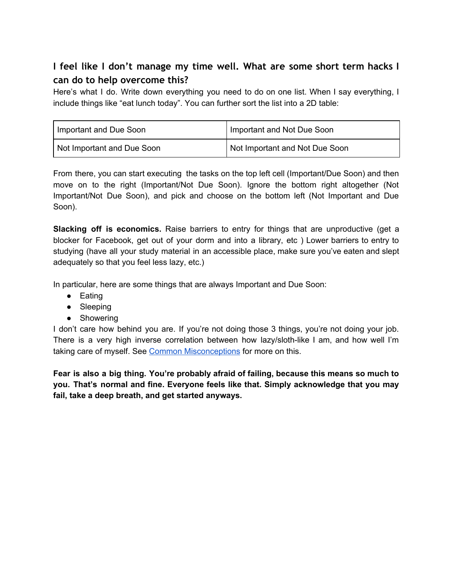# <span id="page-5-0"></span>**I feel like I don't manage my time well. What are some short term hacks I can do to help overcome this?**

Here's what I do. Write down everything you need to do on one list. When I say everything, I include things like "eat lunch today". You can further sort the list into a 2D table:

| Important and Due Soon     | Important and Not Due Soon     |
|----------------------------|--------------------------------|
| Not Important and Due Soon | Not Important and Not Due Soon |

From there, you can start executing the tasks on the top left cell (Important/Due Soon) and then move on to the right (Important/Not Due Soon). Ignore the bottom right altogether (Not Important/Not Due Soon), and pick and choose on the bottom left (Not Important and Due Soon).

**Slacking off is economics.** Raise barriers to entry for things that are unproductive (get a blocker for Facebook, get out of your dorm and into a library, etc ) Lower barriers to entry to studying (have all your study material in an accessible place, make sure you've eaten and slept adequately so that you feel less lazy, etc.)

In particular, here are some things that are always Important and Due Soon:

- Eating
- Sleeping
- Showering

I don't care how behind you are. If you're not doing those 3 things, you're not doing your job. There is a very high inverse correlation between how lazy/sloth-like I am, and how well I'm taking care of myself. See Common [Misconceptions](#page-1-0) for more on this.

**Fear is also a big thing. You're probably afraid of failing, because this means so much to you. That's normal and fine. Everyone feels like that. Simply acknowledge that you may fail, take a deep breath, and get started anyways.**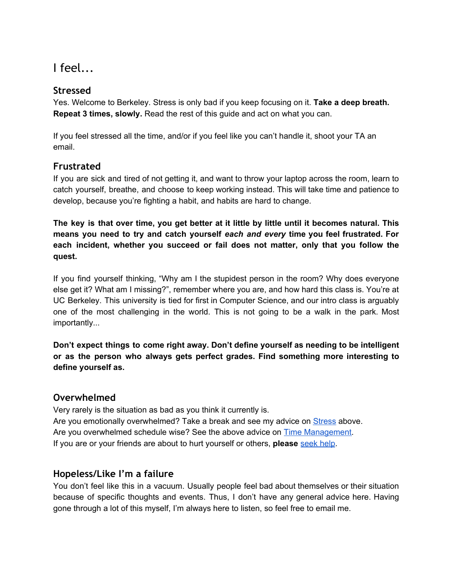<span id="page-6-0"></span>I feel...

## <span id="page-6-1"></span>**Stressed**

Yes. Welcome to Berkeley. Stress is only bad if you keep focusing on it. **Take a deep breath. Repeat 3 times, slowly.** Read the rest of this guide and act on what you can.

If you feel stressed all the time, and/or if you feel like you can't handle it, shoot your TA an email.

## <span id="page-6-2"></span>**Frustrated**

If you are sick and tired of not getting it, and want to throw your laptop across the room, learn to catch yourself, breathe, and choose to keep working instead. This will take time and patience to develop, because you're fighting a habit, and habits are hard to change.

The key is that over time, you get better at it little by little until it becomes natural. This **means you need to try and catch yourself** *each and every* **time you feel frustrated. For each incident, whether you succeed or fail does not matter, only that you follow the quest.**

If you find yourself thinking, "Why am I the stupidest person in the room? Why does everyone else get it? What am I missing?", remember where you are, and how hard this class is. You're at UC Berkeley. This university is tied for first in Computer Science, and our intro class is arguably one of the most challenging in the world. This is not going to be a walk in the park. Most importantly...

**Don't expect things to come right away. Don't define yourself as needing to be intelligent or as the person who always gets perfect grades. Find something more interesting to define yourself as.**

#### <span id="page-6-3"></span>**Overwhelmed**

Very rarely is the situation as bad as you think it currently is. Are you emotionally overwhelmed? Take a break and see my advice on [Stress](#page-6-1) above. Are you overwhelmed schedule wise? See the above advice on Time [Management.](#page-5-0) If you are or your friends are about to hurt yourself or others, **please** [seek](http://uhs.berkeley.edu/goldfolder/) help.

#### <span id="page-6-4"></span>**Hopeless/Like I'm a failure**

You don't feel like this in a vacuum. Usually people feel bad about themselves or their situation because of specific thoughts and events. Thus, I don't have any general advice here. Having gone through a lot of this myself, I'm always here to listen, so feel free to email me.